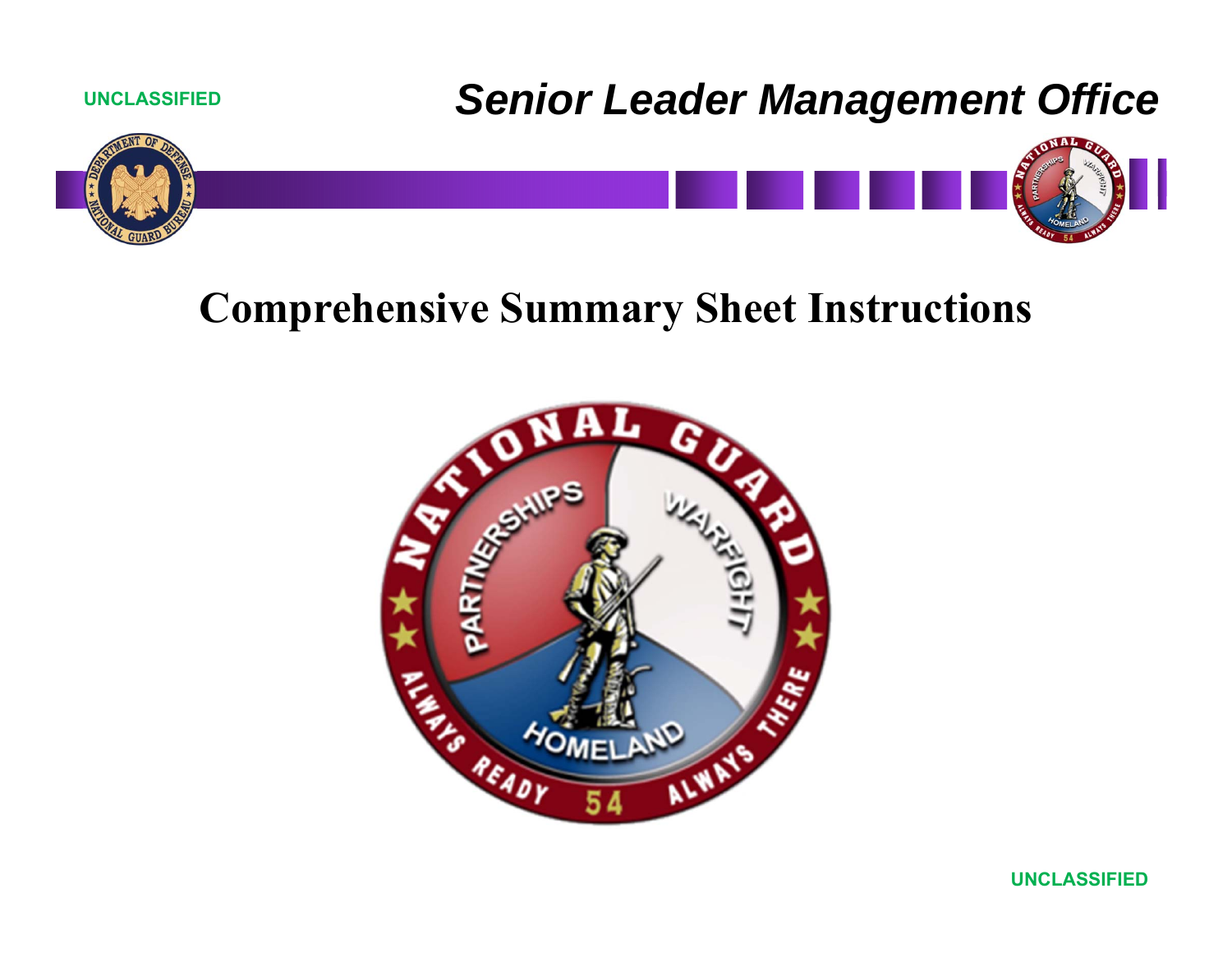

# **Comprehensive Summary Sheet Instructions**

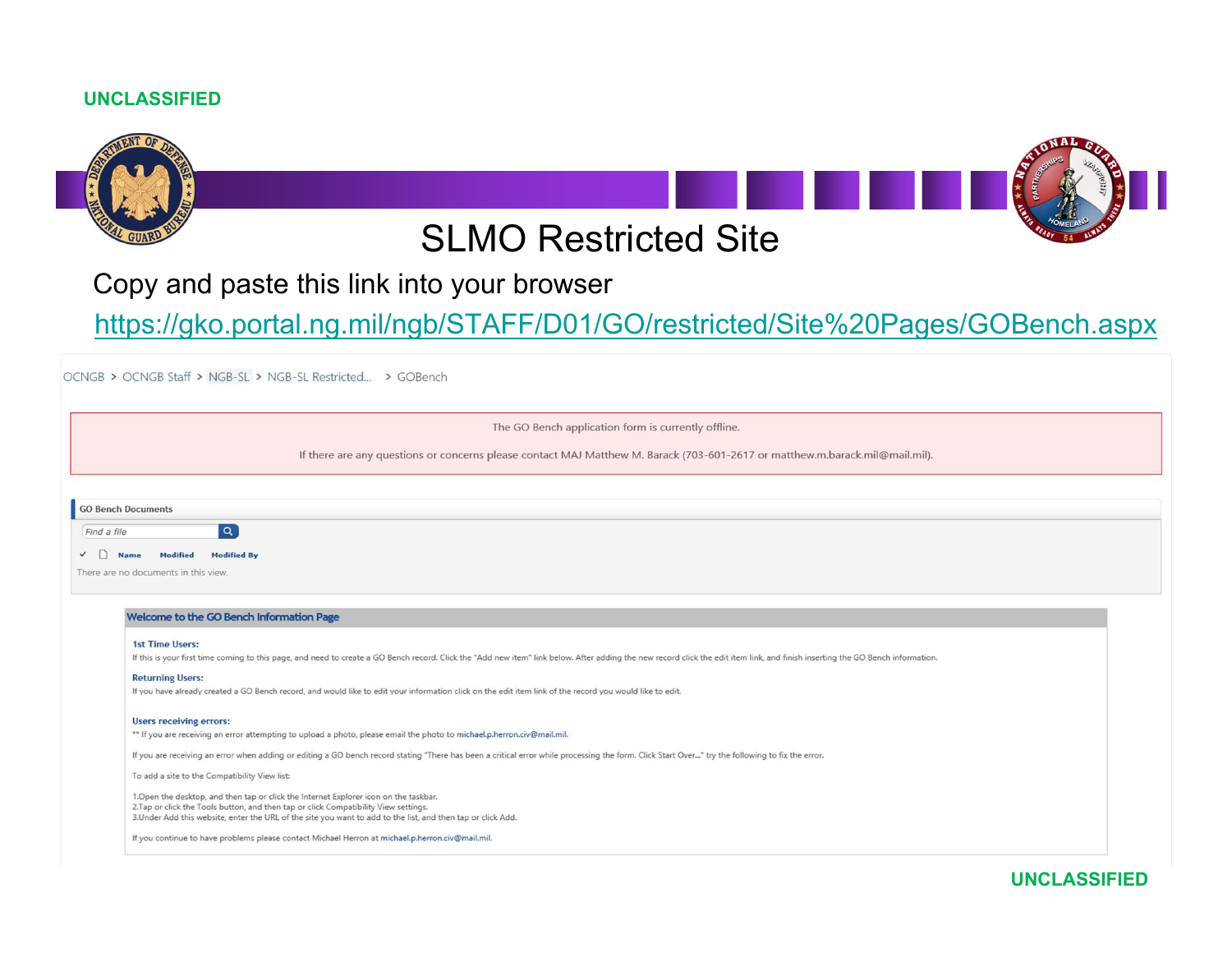

### Copy and paste this link into your browser

https://gko.portal.ng.mil/ngb/STAFF/D01/GO/restricted/Site%20Pages/GOBench.aspx

OCNGB > OCNGB Staff > NGB-SL > NGB-SL Restricted... > GOBench

The GO Bench application form is currently offline.

If there are any questions or concerns please contact MAJ Matthew M. Barack (703-601-2617 or matthew.m.barack.mil@mail.mil).

|  | <b>GU Bench Documents</b> |
|--|---------------------------|
|  |                           |

Find a file

 $\mathbf{L}$ 

 $\checkmark$  Name Modified Modified By

There are no documents in this view.

#### Welcome to the GO Bench Information Page

 $\alpha$ 

#### 1st Time Users:

If this is your first time coming to this page, and need to create a GO Bench record. Click the "Add new item" link below. After adding the new record click the edit item link, and finish inserting the GO Bench information

**Returning Users:** 

If you have already created a GO Bench record, and would like to edit your information click on the edit item link of the record you would like to edit.

#### **Users receiving errors:**

\*\* If you are receiving an error attempting to upload a photo, please email the photo to michael.p.herron.civ@mail.mil.

If you are receiving an error when adding or editing a GO bench record stating "There has been a critical error while processing the form. Click Start Over..." try the following to fix the error.

To add a site to the Compatibility View list:

1.Open the desktop, and then tap or click the Internet Explorer icon on the taskbar. 2. Tap or click the Tools button, and then tap or click Compatibility View settings. 3.Under Add this website, enter the URL of the site you want to add to the list, and then tap or click Add.

If you continue to have problems please contact Michael Herron at michael.p.herron.civ@mail.mil.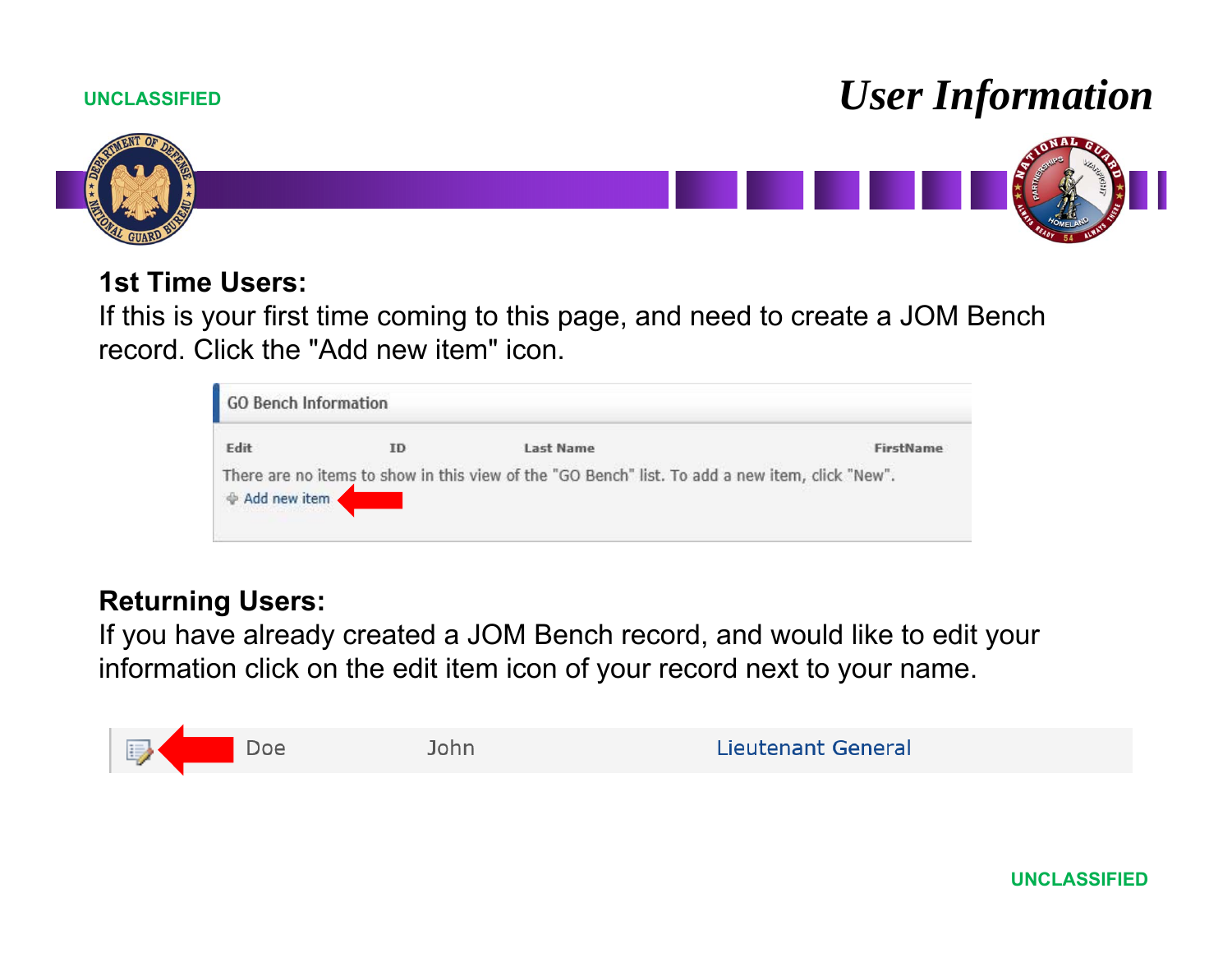# *User Information*



### **1st Time Users:**

If this is your first time coming to this page, and need to create a JOM Bench record. Click the "Add new item" icon.

| GO Bench Information |    |                                                                                                 |           |
|----------------------|----|-------------------------------------------------------------------------------------------------|-----------|
| <b>Fdit</b>          | ID | Last Name                                                                                       | FirstName |
| ⊕ Add new item       |    | There are no items to show in this view of the "GO Bench" list. To add a new item, click "New". |           |

### **Returning Users:**

If you have already created a JOM Bench record, and would like to edit your information click on the edit item icon of your record next to your name.

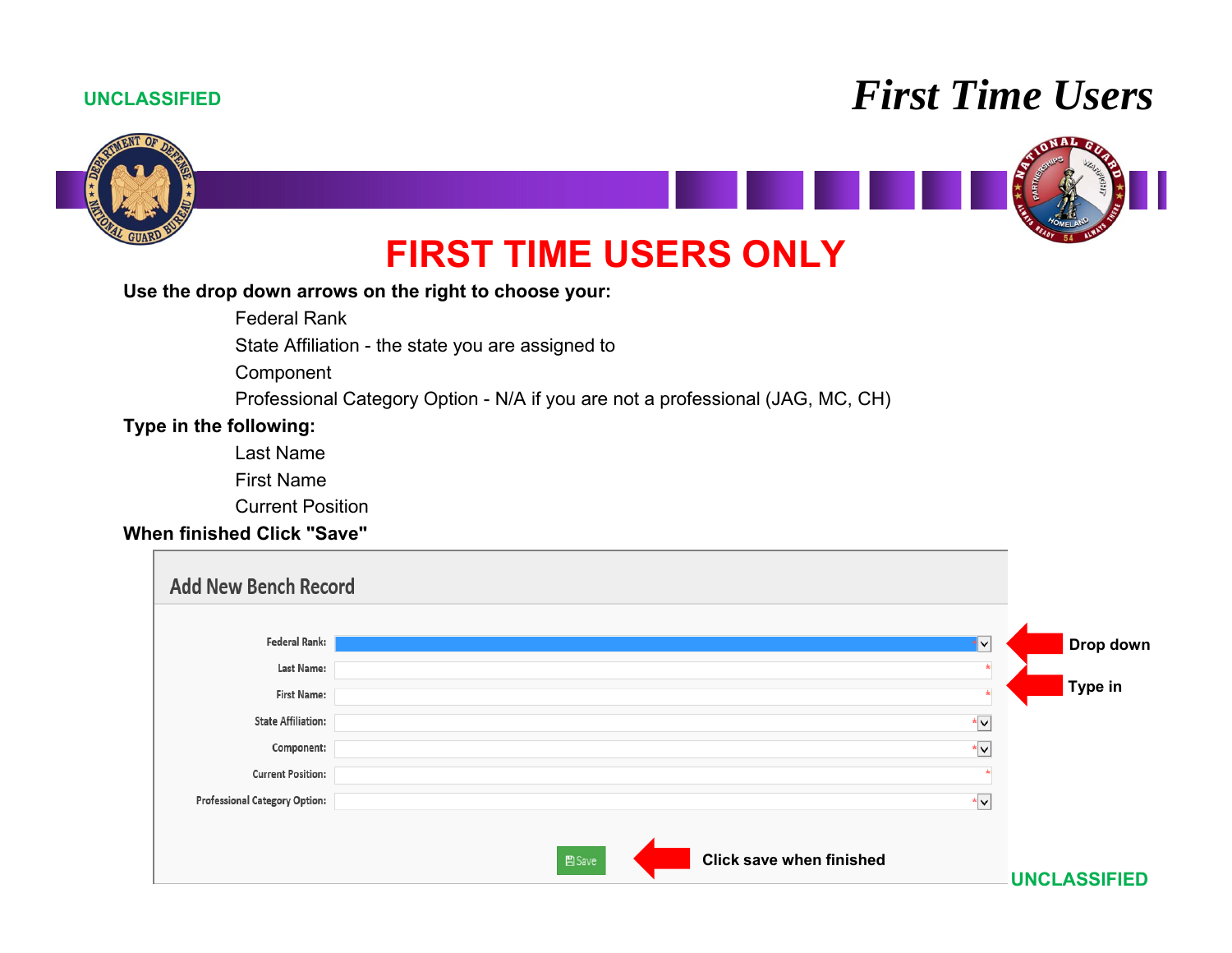## *First Time Users*



#### **Use the drop down arrows on the right to choose your:**

Federal Rank

State Affiliation - the state you are assigned to

Component

Professional Category Option - N/A if you are not a professional (JAG, MC, CH)

### **Type in the following:**

Last Name

First Name

Current Position

### **When finished Click "Save"**

| <b>Add New Bench Record</b>          |                                          |                     |
|--------------------------------------|------------------------------------------|---------------------|
|                                      |                                          |                     |
| Federal Rank:                        | ∗I∨                                      | Drop down           |
| Last Name:                           |                                          |                     |
| <b>First Name:</b>                   |                                          | Type in             |
| <b>State Affiliation:</b>            | $\star$ $\vee$                           |                     |
| Component:                           | ∗∨                                       |                     |
| <b>Current Position:</b>             |                                          |                     |
| <b>Professional Category Option:</b> | *V                                       |                     |
|                                      | <b>Click save when finished</b><br>图Save |                     |
|                                      |                                          | <b>UNCLASSIFIED</b> |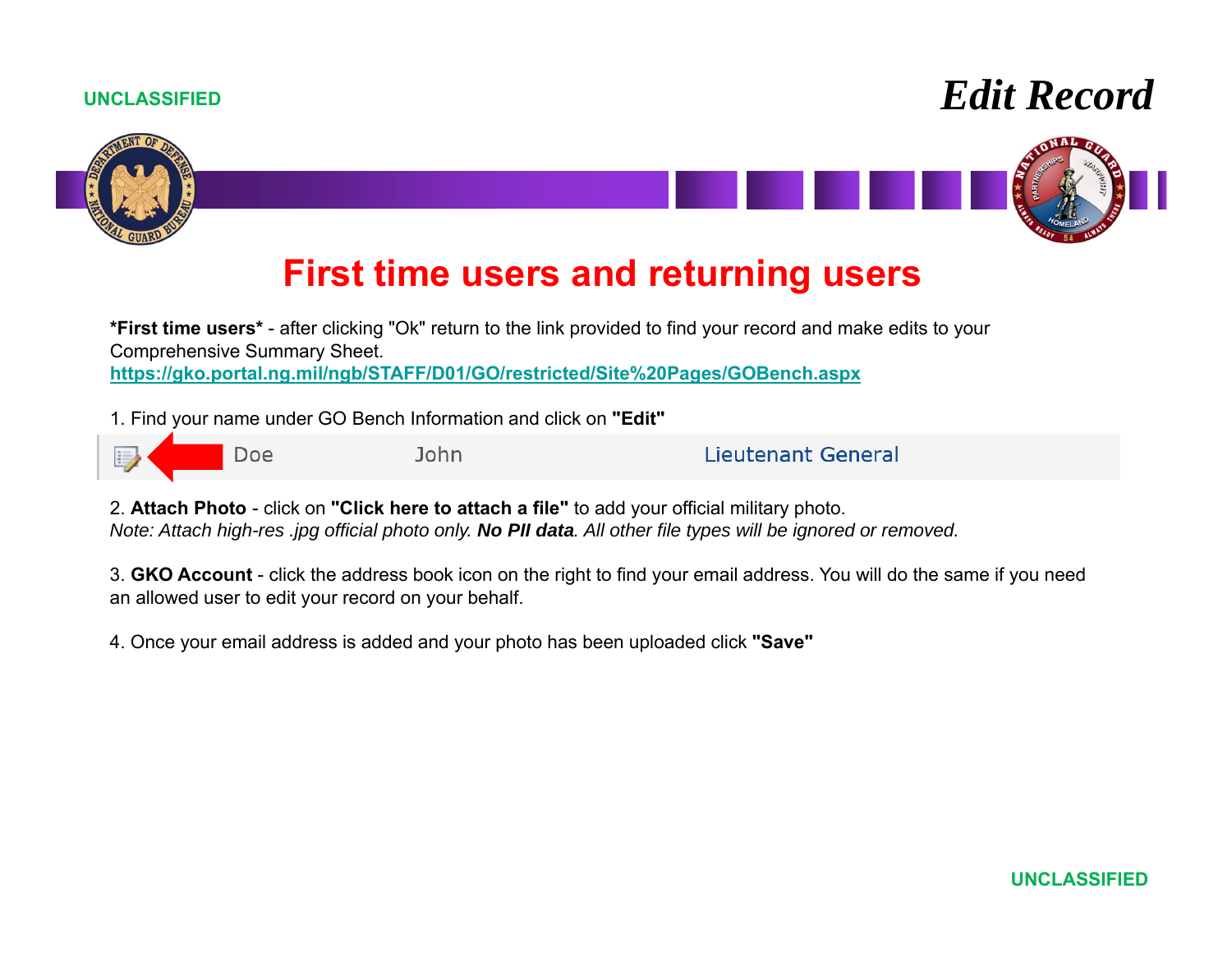





### **First time users and returning users**

**\*First time users\*** - after clicking "Ok" return to the link provided to find your record and make edits to your Comprehensive Summary Sheet. **https://gko.portal.ng.mil/ngb/STAFF/D01/GO/restricted/Site%20Pages/GOBench.aspx**

1. Find your name under GO Bench Information and click on **"Edit"** 



**Lieutenant General** 

2. **Attach Photo** - click on **"Click here to attach a file"** to add your official military photo. *Note: Attach high-res .jpg official photo only. No PII data. All other file types will be ignored or removed.*

3. **GKO Account** - click the address book icon on the right to find your email address. You will do the same if you need an allowed user to edit your record on your behalf.

4. Once your email address is added and your photo has been uploaded click **"Save"**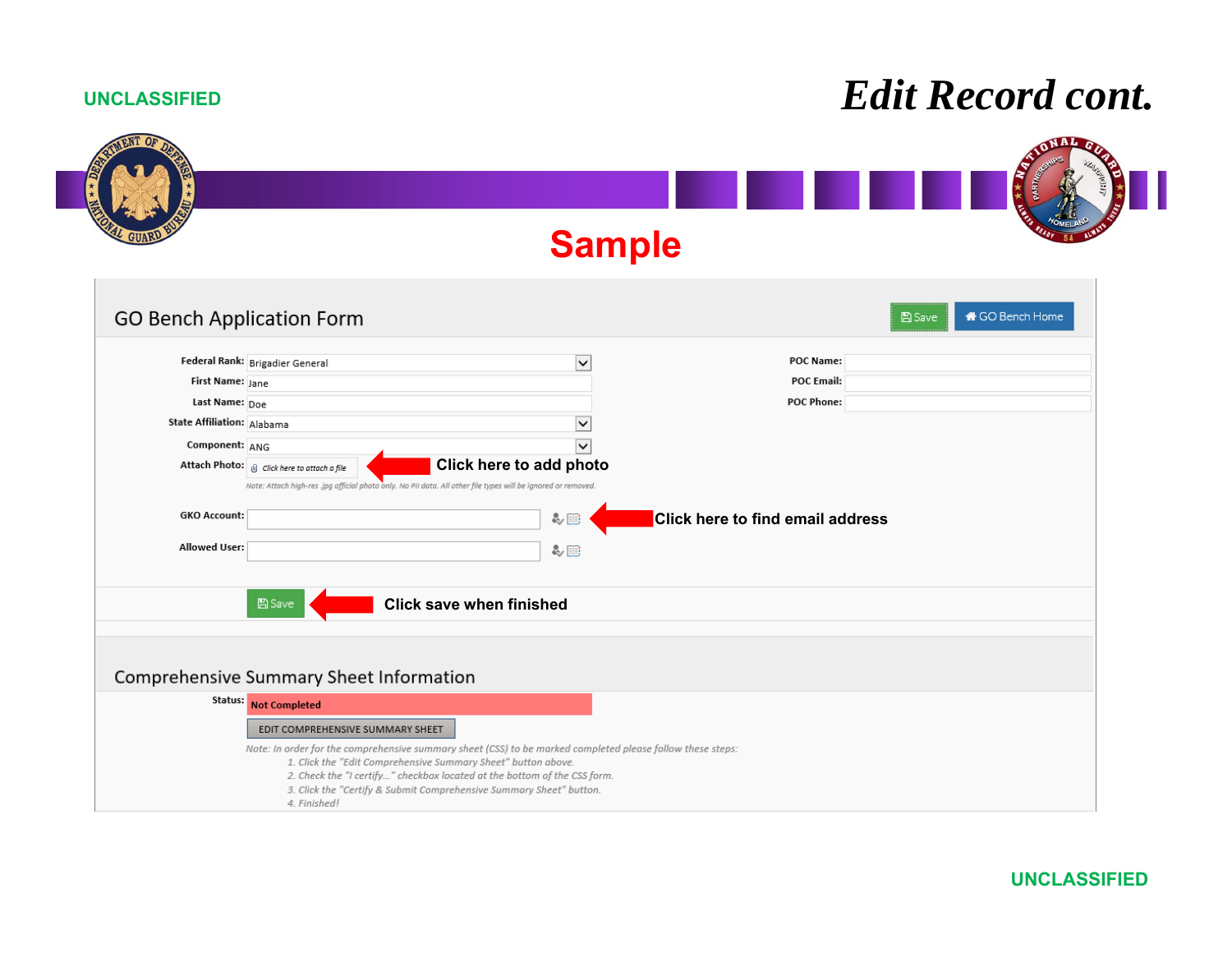## *Edit Record cont.*

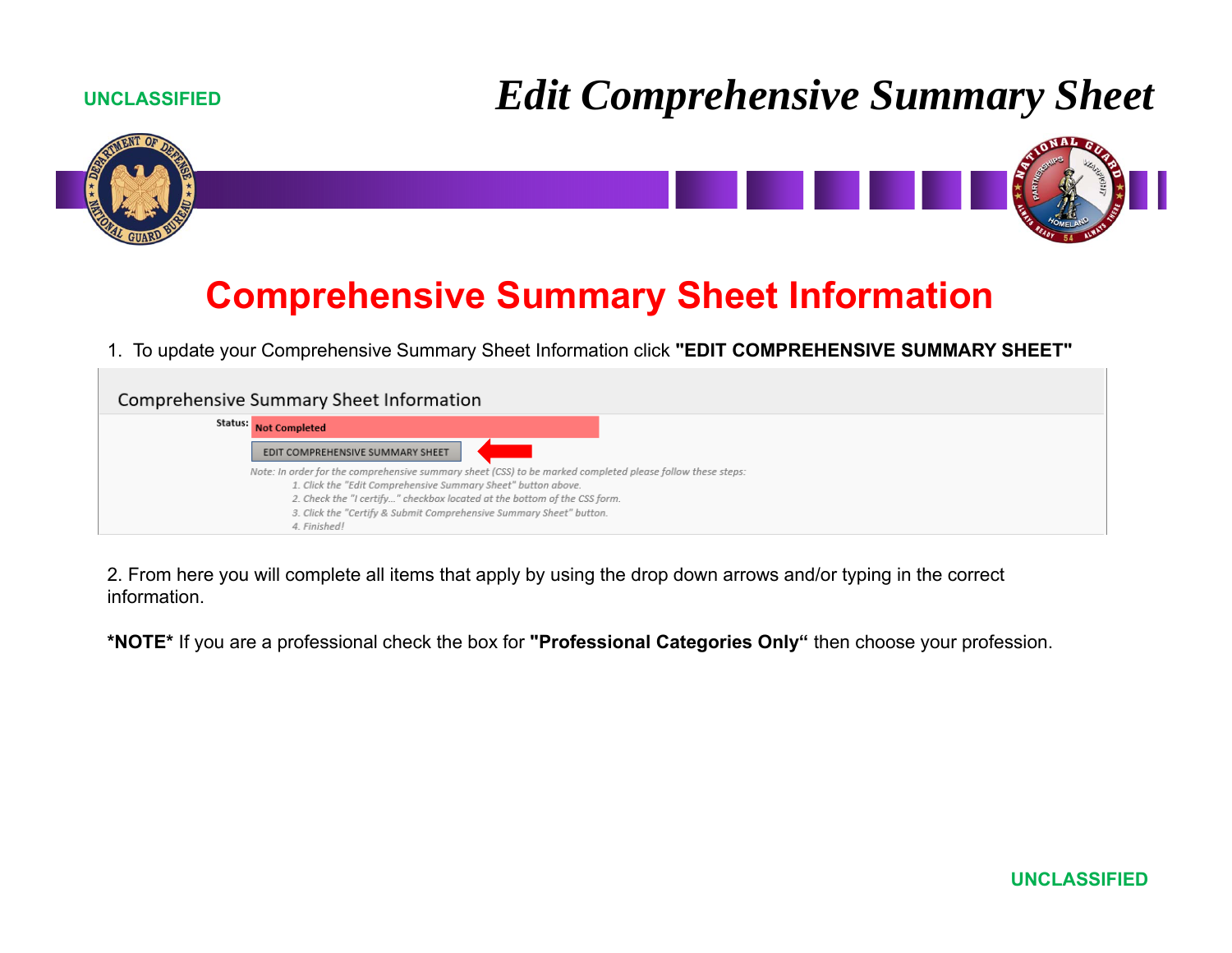# *Edit Comprehensive Summary Sheet*





### **Comprehensive Summary Sheet Information**

1. To update your Comprehensive Summary Sheet Information click **"EDIT COMPREHENSIVE SUMMARY SHEET"**

| Comprehensive Summary Sheet Information                                                                    |  |
|------------------------------------------------------------------------------------------------------------|--|
| Status: Not Completed                                                                                      |  |
| EDIT COMPREHENSIVE SUMMARY SHEET                                                                           |  |
| Note: In order for the comprehensive summary sheet (CSS) to be marked completed please follow these steps: |  |
| 1. Click the "Edit Comprehensive Summary Sheet" button above.                                              |  |
| 2. Check the "I certify" checkbox located at the bottom of the CSS form.                                   |  |
| 3. Click the "Certify & Submit Comprehensive Summary Sheet" button.                                        |  |
| 4. Finished!                                                                                               |  |

2. From here you will complete all items that apply by using the drop down arrows and/or typing in the correct information.

**\*NOTE\*** If you are a professional check the box for **"Professional Categories Only"** then choose your profession.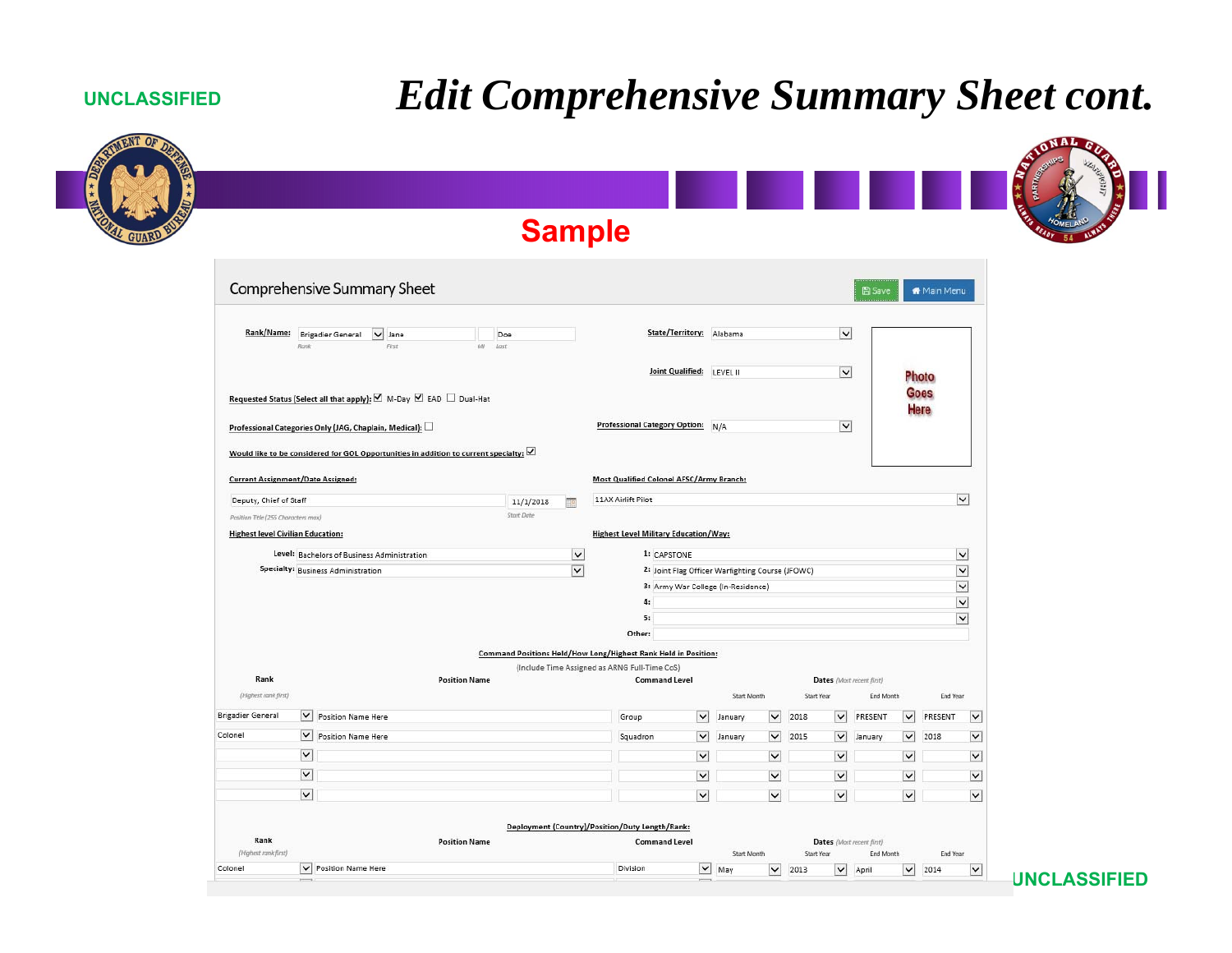# *Edit Comprehensive Summary Sheet cont.*

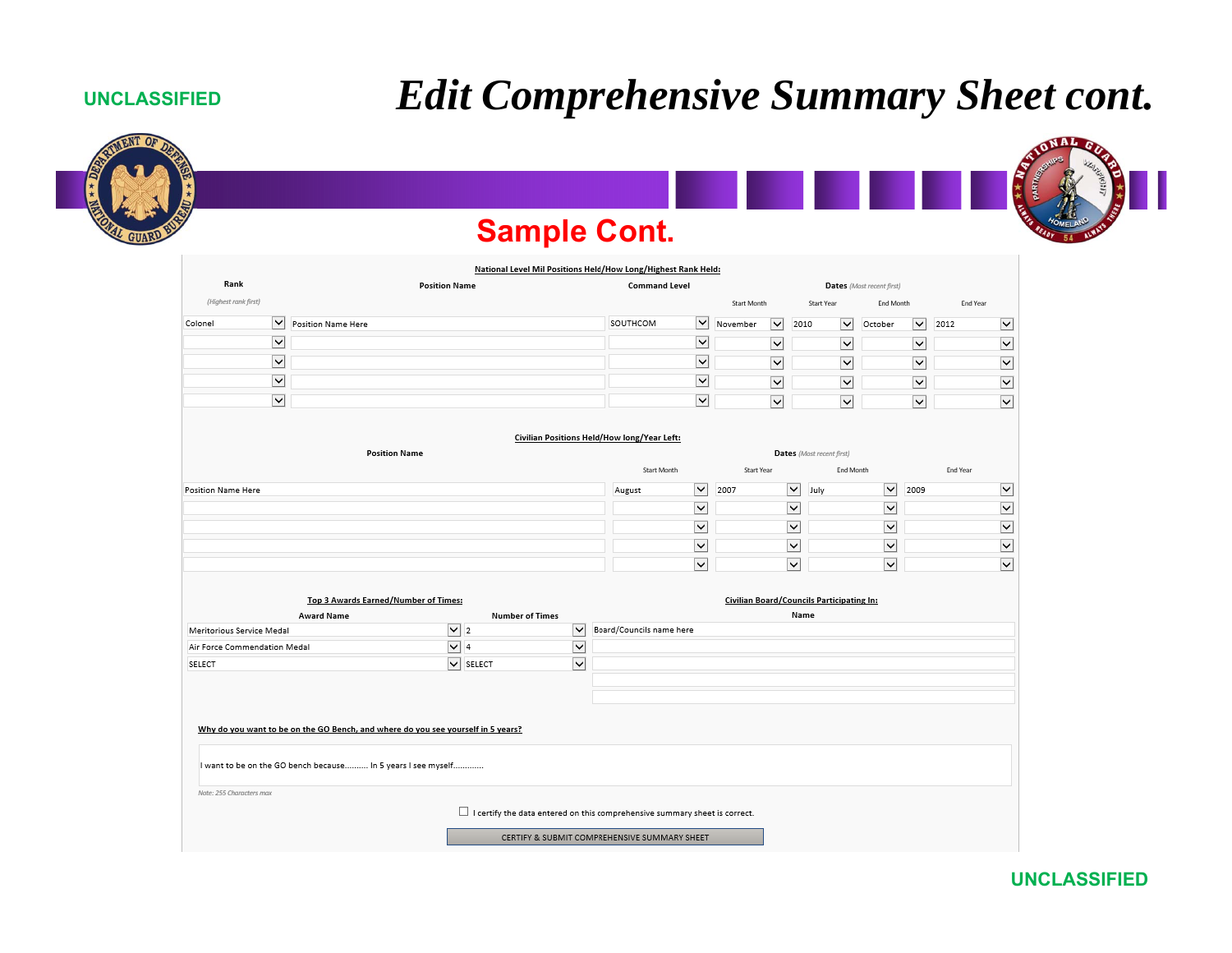### *Edit Comprehensive Summary Sheet cont.*

### **UNCLASSIFIED**



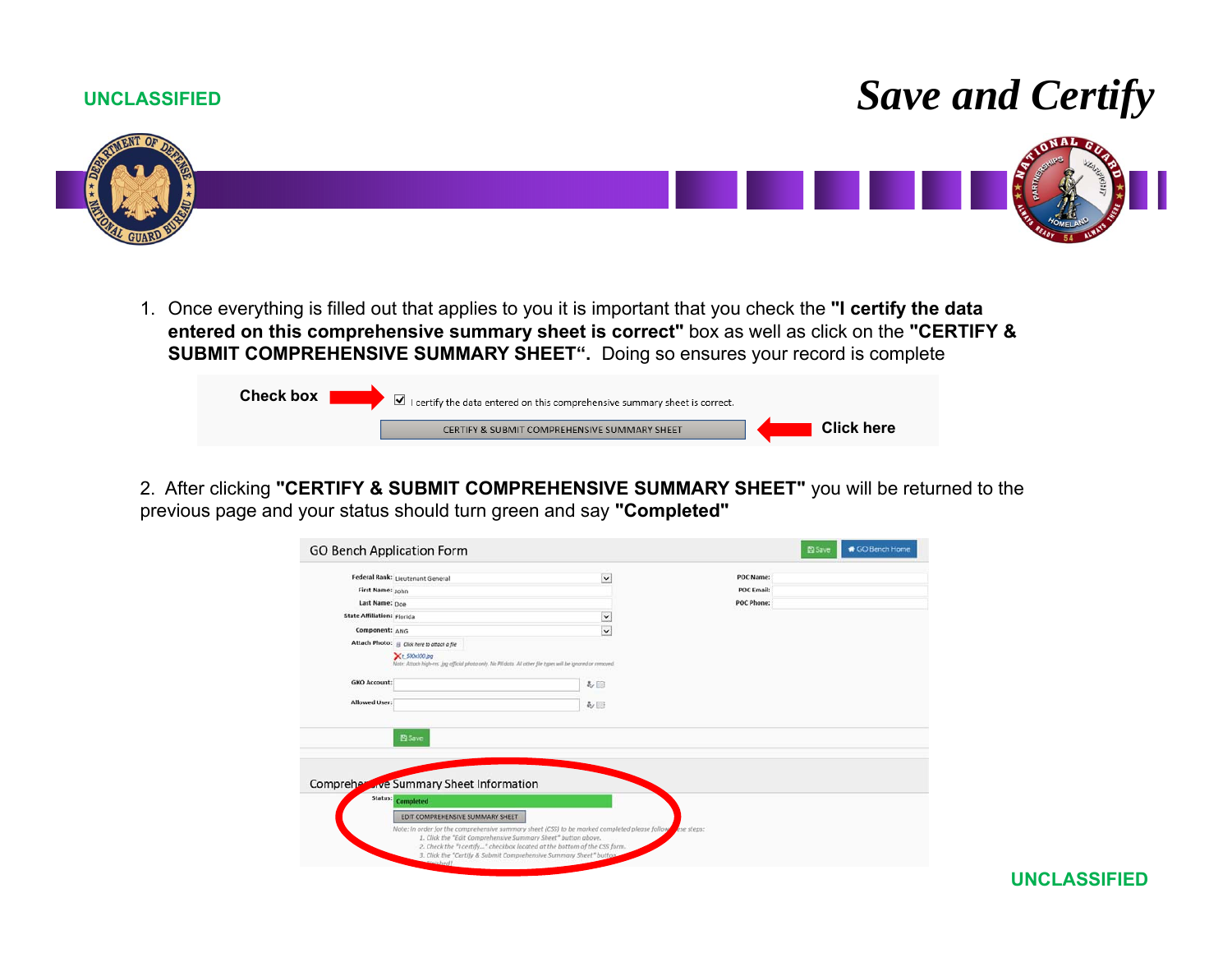# *Save and Certify*



1. Once everything is filled out that applies to you it is important that you check the **"I certify the data entered on this comprehensive summary sheet is correct"** box as well as click on the **"CERTIFY & SUBMIT COMPREHENSIVE SUMMARY SHEET".** Doing so ensures your record is complete

| <b>Check box</b> | $\blacksquare$ I certify the data entered on this comprehensive summary sheet is correct. |                   |
|------------------|-------------------------------------------------------------------------------------------|-------------------|
|                  | CERTIFY & SUBMIT COMPREHENSIVE SUMMARY SHEET                                              | <b>Click here</b> |

2. After clicking **"CERTIFY & SUBMIT COMPREHENSIVE SUMMARY SHEET"** you will be returned to the previous page and your status should turn green and say **"Completed"**

|                                   | Federal Rank: Lieutenant General                                                                                                | $\check{ }$                                                                                                                                                               | POC Name:         |  |
|-----------------------------------|---------------------------------------------------------------------------------------------------------------------------------|---------------------------------------------------------------------------------------------------------------------------------------------------------------------------|-------------------|--|
| First Name: John                  |                                                                                                                                 |                                                                                                                                                                           | <b>POC Email:</b> |  |
| Last Name: Doe                    |                                                                                                                                 |                                                                                                                                                                           | POC Phone:        |  |
| <b>State Affiliation: Florida</b> |                                                                                                                                 | $\check{ }$                                                                                                                                                               |                   |  |
| Component: ANG                    |                                                                                                                                 | $\checkmark$                                                                                                                                                              |                   |  |
|                                   | Attach Photo: @ Click here to attach a file                                                                                     |                                                                                                                                                                           |                   |  |
|                                   | Xt.500x300.jpg<br>Note: Attoch high-res. jpg afficial photo only. No PII data. All other file types will be ignored or removed. |                                                                                                                                                                           |                   |  |
| <b>GKO Account:</b>               |                                                                                                                                 | <b>&amp;</b>                                                                                                                                                              |                   |  |
| Allowed User:                     |                                                                                                                                 | あ回                                                                                                                                                                        |                   |  |
| Compreher                         | 图 Save<br>we Summary Sheet Information                                                                                          |                                                                                                                                                                           |                   |  |
| Status:                           | Completed                                                                                                                       |                                                                                                                                                                           |                   |  |
|                                   | EDIT COMPREHENSIVE SUMMARY SHEET                                                                                                |                                                                                                                                                                           |                   |  |
|                                   | 1. Click the "Edit Comprehensive Summary Sheet" button above.                                                                   | Note: In order for the comprehensive summary sheet (CSS) to be marked completed please follow<br>2. Check the "I certify" checkbox located at the bottom of the CSS form. | exe steps:        |  |